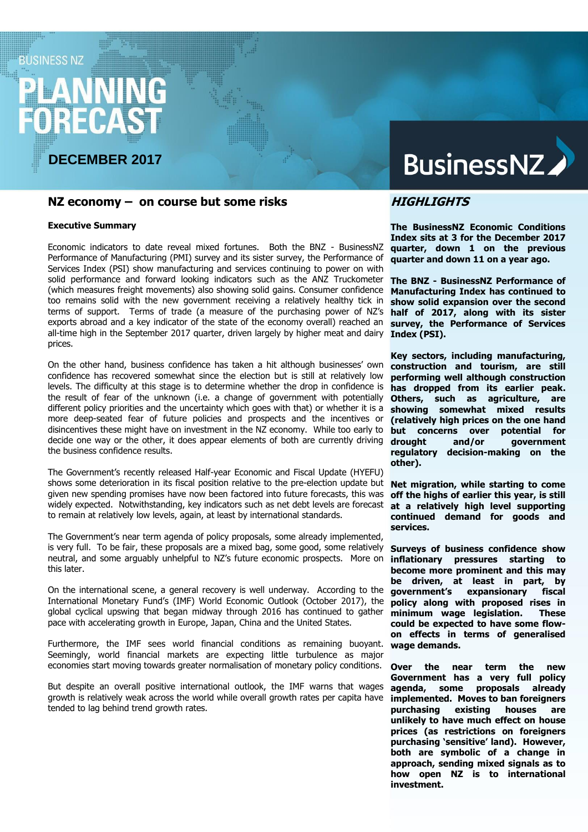# **BUSINESS NZ**

# **DECEMBER 2017**

# **NZ economy – on course but some risks**

#### **Executive Summary**

Economic indicators to date reveal mixed fortunes. Both the BNZ - BusinessNZ Performance of Manufacturing (PMI) survey and its sister survey, the Performance of Services Index (PSI) show manufacturing and services continuing to power on with solid performance and forward looking indicators such as the ANZ Truckometer (which measures freight movements) also showing solid gains. Consumer confidence too remains solid with the new government receiving a relatively healthy tick in terms of support. Terms of trade (a measure of the purchasing power of NZ's exports abroad and a key indicator of the state of the economy overall) reached an all-time high in the September 2017 quarter, driven largely by higher meat and dairy prices.

On the other hand, business confidence has taken a hit although businesses' own confidence has recovered somewhat since the election but is still at relatively low levels. The difficulty at this stage is to determine whether the drop in confidence is the result of fear of the unknown (i.e. a change of government with potentially different policy priorities and the uncertainty which goes with that) or whether it is a more deep-seated fear of future policies and prospects and the incentives or disincentives these might have on investment in the NZ economy. While too early to decide one way or the other, it does appear elements of both are currently driving the business confidence results.

The Government's recently released Half-year Economic and Fiscal Update (HYEFU) shows some deterioration in its fiscal position relative to the pre-election update but given new spending promises have now been factored into future forecasts, this was widely expected. Notwithstanding, key indicators such as net debt levels are forecast to remain at relatively low levels, again, at least by international standards.

The Government's near term agenda of policy proposals, some already implemented, is very full. To be fair, these proposals are a mixed bag, some good, some relatively neutral, and some arguably unhelpful to NZ's future economic prospects. More on this later.

On the international scene, a general recovery is well underway. According to the International Monetary Fund's (IMF) World Economic Outlook (October 2017), the global cyclical upswing that began midway through 2016 has continued to gather pace with accelerating growth in Europe, Japan, China and the United States.

Furthermore, the IMF sees world financial conditions as remaining buoyant. Seemingly, world financial markets are expecting little turbulence as major economies start moving towards greater normalisation of monetary policy conditions.

But despite an overall positive international outlook, the IMF warns that wages growth is relatively weak across the world while overall growth rates per capita have tended to lag behind trend growth rates.

# **BusinessNZ**

## **HIGHLIGHTS**

**The BusinessNZ Economic Conditions Index sits at 3 for the December 2017 quarter, down 1 on the previous quarter and down 11 on a year ago.** 

**The BNZ - BusinessNZ Performance of Manufacturing Index has continued to show solid expansion over the second half of 2017, along with its sister survey, the Performance of Services Index (PSI).**

**Key sectors, including manufacturing, construction and tourism, are still performing well although construction has dropped from its earlier peak. Others, such as agriculture, are showing somewhat mixed results (relatively high prices on the one hand but concerns over potential for drought and/or government regulatory decision-making on the other).** 

**Net migration, while starting to come off the highs of earlier this year, is still at a relatively high level supporting continued demand for goods and services.**

**Surveys of business confidence show inflationary pressures starting to become more prominent and this may be driven, at least in part, by government's expansionary fiscal policy along with proposed rises in minimum wage legislation. These could be expected to have some flowon effects in terms of generalised wage demands.**

**Over the near term the new Government has a very full policy agenda, some proposals already implemented. Moves to ban foreigners purchasing existing houses are unlikely to have much effect on house prices (as restrictions on foreigners purchasing 'sensitive' land). However, both are symbolic of a change in approach, sending mixed signals as to how open NZ is to international investment.**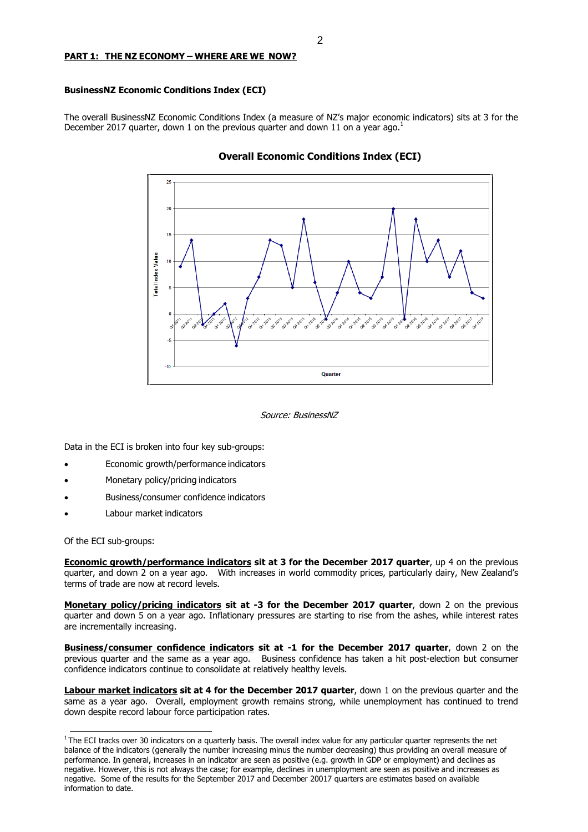#### **PART 1: THE NZ ECONOMY – WHERE ARE WE NOW?**

#### **BusinessNZ Economic Conditions Index (ECI)**

The overall BusinessNZ Economic Conditions Index (a measure of NZ's major economic indicators) sits at 3 for the December 2017 quarter, down 1 on the previous quarter and down 11 on a year ago.<sup>1</sup>



#### **Overall Economic Conditions Index (ECI)**

Source: BusinessNZ

Data in the ECI is broken into four key sub-groups:

- Economic growth/performance indicators
- Monetary policy/pricing indicators
- Business/consumer confidence indicators
- Labour market indicators

Of the ECI sub-groups:

**Economic growth/performance indicators sit at 3 for the December 2017 quarter**, up 4 on the previous quarter, and down 2 on a year ago. With increases in world commodity prices, particularly dairy, New Zealand's terms of trade are now at record levels.

**Monetary policy/pricing indicators sit at -3 for the December 2017 quarter**, down 2 on the previous quarter and down 5 on a year ago. Inflationary pressures are starting to rise from the ashes, while interest rates are incrementally increasing.

**Business/consumer confidence indicators sit at -1 for the December 2017 quarter**, down 2 on the previous quarter and the same as a year ago. Business confidence has taken a hit post-election but consumer confidence indicators continue to consolidate at relatively healthy levels.

**Labour market indicators sit at 4 for the December 2017 quarter**, down 1 on the previous quarter and the same as a year ago. Overall, employment growth remains strong, while unemployment has continued to trend down despite record labour force participation rates.

 $1$ The ECI tracks over 30 indicators on a quarterly basis. The overall index value for any particular quarter represents the net balance of the indicators (generally the number increasing minus the number decreasing) thus providing an overall measure of performance. In general, increases in an indicator are seen as positive (e.g. growth in GDP or employment) and declines as negative. However, this is not always the case; for example, declines in unemployment are seen as positive and increases as negative. Some of the results for the September 2017 and December 20017 quarters are estimates based on available information to date.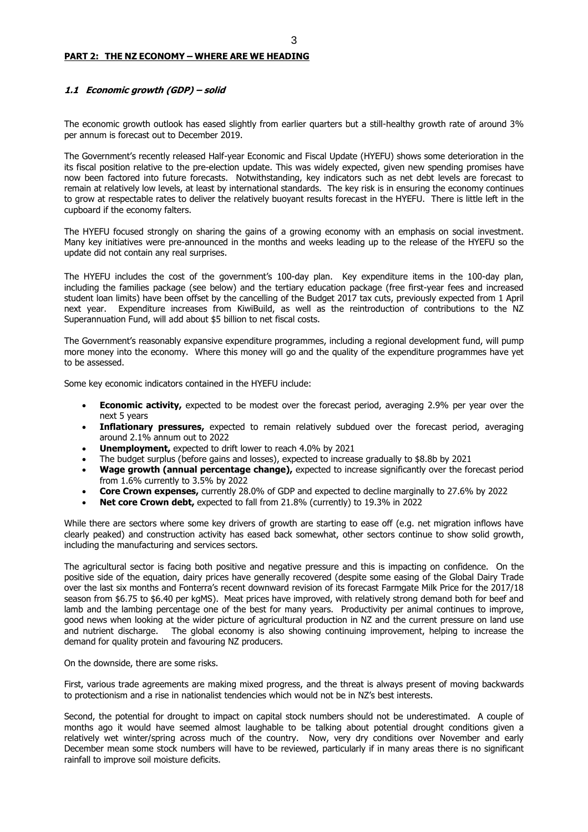#### **PART 2: THE NZ ECONOMY – WHERE ARE WE HEADING**

#### **1.1 Economic growth (GDP) – solid**

The economic growth outlook has eased slightly from earlier quarters but a still-healthy growth rate of around 3% per annum is forecast out to December 2019.

The Government's recently released Half-year Economic and Fiscal Update (HYEFU) shows some deterioration in the its fiscal position relative to the pre-election update. This was widely expected, given new spending promises have now been factored into future forecasts. Notwithstanding, key indicators such as net debt levels are forecast to remain at relatively low levels, at least by international standards. The key risk is in ensuring the economy continues to grow at respectable rates to deliver the relatively buoyant results forecast in the HYEFU. There is little left in the cupboard if the economy falters.

The HYEFU focused strongly on sharing the gains of a growing economy with an emphasis on social investment. Many key initiatives were pre-announced in the months and weeks leading up to the release of the HYEFU so the update did not contain any real surprises.

The HYEFU includes the cost of the government's 100-day plan. Key expenditure items in the 100-day plan, including the families package (see below) and the tertiary education package (free first-year fees and increased student loan limits) have been offset by the cancelling of the Budget 2017 tax cuts, previously expected from 1 April next year. Expenditure increases from KiwiBuild, as well as the reintroduction of contributions to the NZ Superannuation Fund, will add about \$5 billion to net fiscal costs.

The Government's reasonably expansive expenditure programmes, including a regional development fund, will pump more money into the economy. Where this money will go and the quality of the expenditure programmes have yet to be assessed.

Some key economic indicators contained in the HYEFU include:

- **Economic activity,** expected to be modest over the forecast period, averaging 2.9% per year over the next 5 years
- **Inflationary pressures,** expected to remain relatively subdued over the forecast period, averaging around 2.1% annum out to 2022
- **Unemployment,** expected to drift lower to reach 4.0% by 2021
- The budget surplus (before gains and losses), expected to increase gradually to \$8.8b by 2021
- **Wage growth (annual percentage change),** expected to increase significantly over the forecast period from 1.6% currently to 3.5% by 2022
- **Core Crown expenses,** currently 28.0% of GDP and expected to decline marginally to 27.6% by 2022
- **Net core Crown debt,** expected to fall from 21.8% (currently) to 19.3% in 2022

While there are sectors where some key drivers of growth are starting to ease off (e.g. net migration inflows have clearly peaked) and construction activity has eased back somewhat, other sectors continue to show solid growth, including the manufacturing and services sectors.

The agricultural sector is facing both positive and negative pressure and this is impacting on confidence. On the positive side of the equation, dairy prices have generally recovered (despite some easing of the Global Dairy Trade over the last six months and Fonterra's recent downward revision of its forecast Farmgate Milk Price for the 2017/18 season from \$6.75 to \$6.40 per kgMS). Meat prices have improved, with relatively strong demand both for beef and lamb and the lambing percentage one of the best for many years. Productivity per animal continues to improve, good news when looking at the wider picture of agricultural production in NZ and the current pressure on land use and nutrient discharge. The global economy is also showing continuing improvement, helping to increase the demand for quality protein and favouring NZ producers.

On the downside, there are some risks.

First, various trade agreements are making mixed progress, and the threat is always present of moving backwards to protectionism and a rise in nationalist tendencies which would not be in NZ's best interests.

Second, the potential for drought to impact on capital stock numbers should not be underestimated. A couple of months ago it would have seemed almost laughable to be talking about potential drought conditions given a relatively wet winter/spring across much of the country. Now, very dry conditions over November and early December mean some stock numbers will have to be reviewed, particularly if in many areas there is no significant rainfall to improve soil moisture deficits.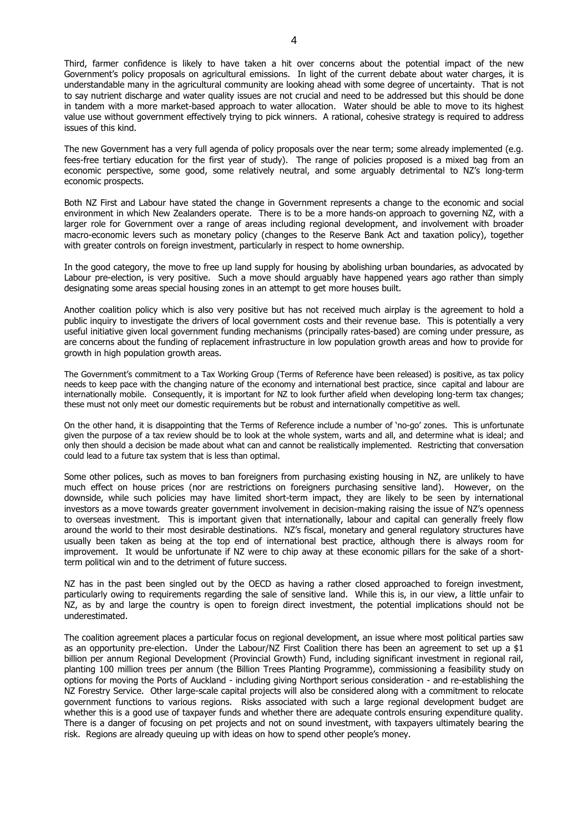Third, farmer confidence is likely to have taken a hit over concerns about the potential impact of the new Government's policy proposals on agricultural emissions. In light of the current debate about water charges, it is understandable many in the agricultural community are looking ahead with some degree of uncertainty. That is not to say nutrient discharge and water quality issues are not crucial and need to be addressed but this should be done in tandem with a more market-based approach to water allocation. Water should be able to move to its highest value use without government effectively trying to pick winners. A rational, cohesive strategy is required to address issues of this kind.

The new Government has a very full agenda of policy proposals over the near term; some already implemented (e.g. fees-free tertiary education for the first year of study). The range of policies proposed is a mixed bag from an economic perspective, some good, some relatively neutral, and some arguably detrimental to NZ's long-term economic prospects.

Both NZ First and Labour have stated the change in Government represents a change to the economic and social environment in which New Zealanders operate. There is to be a more hands-on approach to governing NZ, with a larger role for Government over a range of areas including regional development, and involvement with broader macro-economic levers such as monetary policy (changes to the Reserve Bank Act and taxation policy), together with greater controls on foreign investment, particularly in respect to home ownership.

In the good category, the move to free up land supply for housing by abolishing urban boundaries, as advocated by Labour pre-election, is very positive. Such a move should arguably have happened years ago rather than simply designating some areas special housing zones in an attempt to get more houses built.

Another coalition policy which is also very positive but has not received much airplay is the agreement to hold a public inquiry to investigate the drivers of local government costs and their revenue base. This is potentially a very useful initiative given local government funding mechanisms (principally rates-based) are coming under pressure, as are concerns about the funding of replacement infrastructure in low population growth areas and how to provide for growth in high population growth areas.

The Government's commitment to a Tax Working Group (Terms of Reference have been released) is positive, as tax policy needs to keep pace with the changing nature of the economy and international best practice, since capital and labour are internationally mobile. Consequently, it is important for NZ to look further afield when developing long-term tax changes; these must not only meet our domestic requirements but be robust and internationally competitive as well.

On the other hand, it is disappointing that the Terms of Reference include a number of 'no-go' zones. This is unfortunate given the purpose of a tax review should be to look at the whole system, warts and all, and determine what is ideal; and only then should a decision be made about what can and cannot be realistically implemented. Restricting that conversation could lead to a future tax system that is less than optimal.

Some other polices, such as moves to ban foreigners from purchasing existing housing in NZ, are unlikely to have much effect on house prices (nor are restrictions on foreigners purchasing sensitive land). However, on the downside, while such policies may have limited short-term impact, they are likely to be seen by international investors as a move towards greater government involvement in decision-making raising the issue of NZ's openness to overseas investment. This is important given that internationally, labour and capital can generally freely flow around the world to their most desirable destinations. NZ's fiscal, monetary and general regulatory structures have usually been taken as being at the top end of international best practice, although there is always room for improvement. It would be unfortunate if NZ were to chip away at these economic pillars for the sake of a shortterm political win and to the detriment of future success.

NZ has in the past been singled out by the OECD as having a rather closed approached to foreign investment, particularly owing to requirements regarding the sale of sensitive land. While this is, in our view, a little unfair to NZ, as by and large the country is open to foreign direct investment, the potential implications should not be underestimated.

The coalition agreement places a particular focus on regional development, an issue where most political parties saw as an opportunity pre-election. Under the Labour/NZ First Coalition there has been an agreement to set up a \$1 billion per annum Regional Development (Provincial Growth) Fund, including significant investment in regional rail, planting 100 million trees per annum (the Billion Trees Planting Programme), commissioning a feasibility study on options for moving the Ports of Auckland - including giving Northport serious consideration - and re-establishing the NZ Forestry Service. Other large-scale capital projects will also be considered along with a commitment to relocate government functions to various regions. Risks associated with such a large regional development budget are whether this is a good use of taxpayer funds and whether there are adequate controls ensuring expenditure quality. There is a danger of focusing on pet projects and not on sound investment, with taxpayers ultimately bearing the risk. Regions are already queuing up with ideas on how to spend other people's money.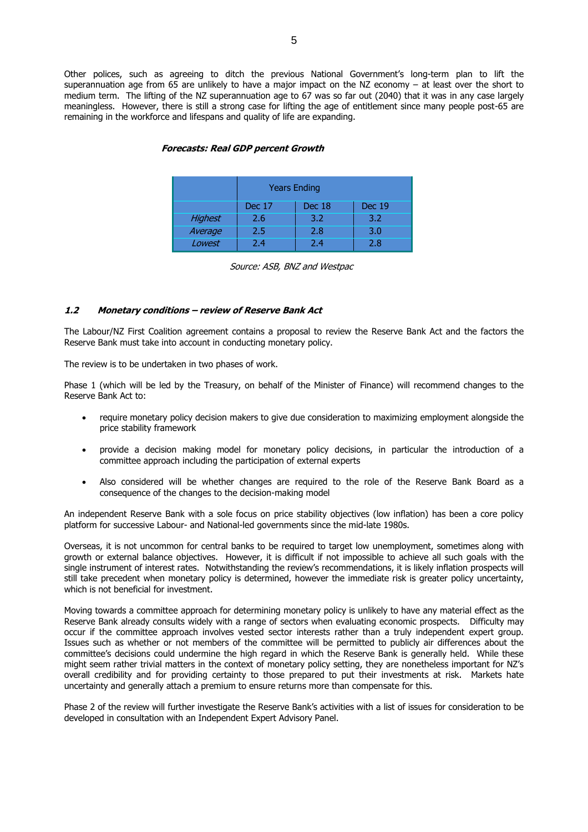Other polices, such as agreeing to ditch the previous National Government's long-term plan to lift the superannuation age from 65 are unlikely to have a major impact on the NZ economy – at least over the short to medium term. The lifting of the NZ superannuation age to 67 was so far out (2040) that it was in any case largely meaningless. However, there is still a strong case for lifting the age of entitlement since many people post-65 are remaining in the workforce and lifespans and quality of life are expanding.

|                | <b>Years Ending</b>                      |     |     |  |  |  |
|----------------|------------------------------------------|-----|-----|--|--|--|
|                | <b>Dec 19</b><br><b>Dec 17</b><br>Dec 18 |     |     |  |  |  |
| <b>Highest</b> | 2.6                                      | 3.2 | 3.2 |  |  |  |
| Average        | 2.5                                      | 2.8 | 3.0 |  |  |  |
| Lowest         | 74                                       | 24  | 2.8 |  |  |  |

#### **Forecasts: Real GDP percent Growth**

|  |  |  |  | Source: ASB, BNZ and Westpac |
|--|--|--|--|------------------------------|
|--|--|--|--|------------------------------|

#### **1.2 Monetary conditions – review of Reserve Bank Act**

The Labour/NZ First Coalition agreement contains a proposal to review the Reserve Bank Act and the factors the Reserve Bank must take into account in conducting monetary policy.

The review is to be undertaken in two phases of work.

Phase 1 (which will be led by the Treasury, on behalf of the Minister of Finance) will recommend changes to the Reserve Bank Act to:

- require monetary policy decision makers to give due consideration to maximizing employment alongside the price stability framework
- provide a decision making model for monetary policy decisions, in particular the introduction of a committee approach including the participation of external experts
- Also considered will be whether changes are required to the role of the Reserve Bank Board as a consequence of the changes to the decision-making model

An independent Reserve Bank with a sole focus on price stability objectives (low inflation) has been a core policy platform for successive Labour- and National-led governments since the mid-late 1980s.

Overseas, it is not uncommon for central banks to be required to target low unemployment, sometimes along with growth or external balance objectives. However, it is difficult if not impossible to achieve all such goals with the single instrument of interest rates. Notwithstanding the review's recommendations, it is likely inflation prospects will still take precedent when monetary policy is determined, however the immediate risk is greater policy uncertainty, which is not beneficial for investment.

Moving towards a committee approach for determining monetary policy is unlikely to have any material effect as the Reserve Bank already consults widely with a range of sectors when evaluating economic prospects. Difficulty may occur if the committee approach involves vested sector interests rather than a truly independent expert group. Issues such as whether or not members of the committee will be permitted to publicly air differences about the committee's decisions could undermine the high regard in which the Reserve Bank is generally held. While these might seem rather trivial matters in the context of monetary policy setting, they are nonetheless important for NZ's overall credibility and for providing certainty to those prepared to put their investments at risk. Markets hate uncertainty and generally attach a premium to ensure returns more than compensate for this.

Phase 2 of the review will further investigate the Reserve Bank's activities with a list of issues for consideration to be developed in consultation with an Independent Expert Advisory Panel.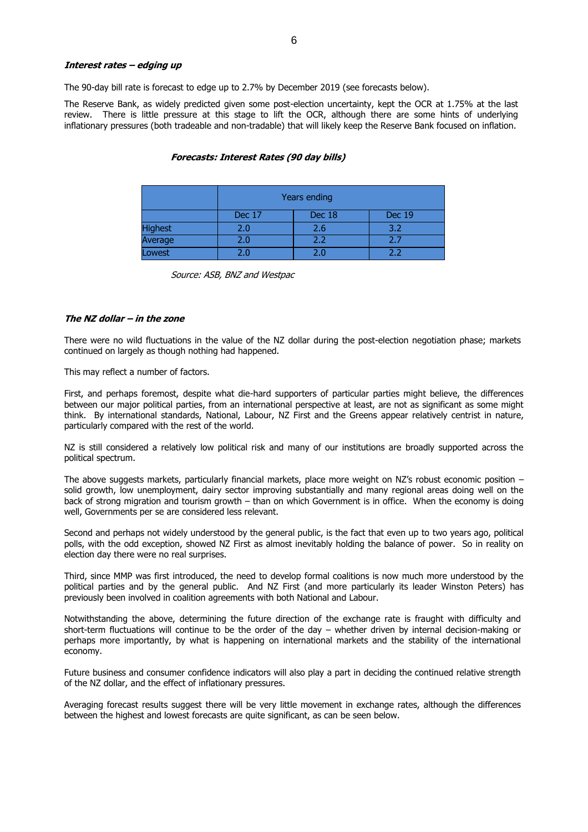#### **Interest rates – edging up**

The 90-day bill rate is forecast to edge up to 2.7% by December 2019 (see forecasts below).

The Reserve Bank, as widely predicted given some post-election uncertainty, kept the OCR at 1.75% at the last review. There is little pressure at this stage to lift the OCR, although there are some hints of underlying inflationary pressures (both tradeable and non-tradable) that will likely keep the Reserve Bank focused on inflation.

#### **Forecasts: Interest Rates (90 day bills)**

|                | Years ending                      |         |     |  |  |  |
|----------------|-----------------------------------|---------|-----|--|--|--|
|                | Dec 17<br>Dec 18<br><b>Dec 19</b> |         |     |  |  |  |
| <b>Highest</b> | 2.0                               | 2.6     | 3.2 |  |  |  |
| Average        | 2.0                               | 2.2     | 2.7 |  |  |  |
| Lowest         |                                   | $2.0\,$ | つつ  |  |  |  |

Source: ASB, BNZ and Westpac

#### **The NZ dollar – in the zone**

There were no wild fluctuations in the value of the NZ dollar during the post-election negotiation phase; markets continued on largely as though nothing had happened.

This may reflect a number of factors.

First, and perhaps foremost, despite what die-hard supporters of particular parties might believe, the differences between our major political parties, from an international perspective at least, are not as significant as some might think. By international standards, National, Labour, NZ First and the Greens appear relatively centrist in nature, particularly compared with the rest of the world.

NZ is still considered a relatively low political risk and many of our institutions are broadly supported across the political spectrum.

The above suggests markets, particularly financial markets, place more weight on NZ's robust economic position – solid growth, low unemployment, dairy sector improving substantially and many regional areas doing well on the back of strong migration and tourism growth – than on which Government is in office. When the economy is doing well, Governments per se are considered less relevant.

Second and perhaps not widely understood by the general public, is the fact that even up to two years ago, political polls, with the odd exception, showed NZ First as almost inevitably holding the balance of power. So in reality on election day there were no real surprises.

Third, since MMP was first introduced, the need to develop formal coalitions is now much more understood by the political parties and by the general public. And NZ First (and more particularly its leader Winston Peters) has previously been involved in coalition agreements with both National and Labour.

Notwithstanding the above, determining the future direction of the exchange rate is fraught with difficulty and short-term fluctuations will continue to be the order of the day – whether driven by internal decision-making or perhaps more importantly, by what is happening on international markets and the stability of the international economy.

Future business and consumer confidence indicators will also play a part in deciding the continued relative strength of the NZ dollar, and the effect of inflationary pressures.

Averaging forecast results suggest there will be very little movement in exchange rates, although the differences between the highest and lowest forecasts are quite significant, as can be seen below.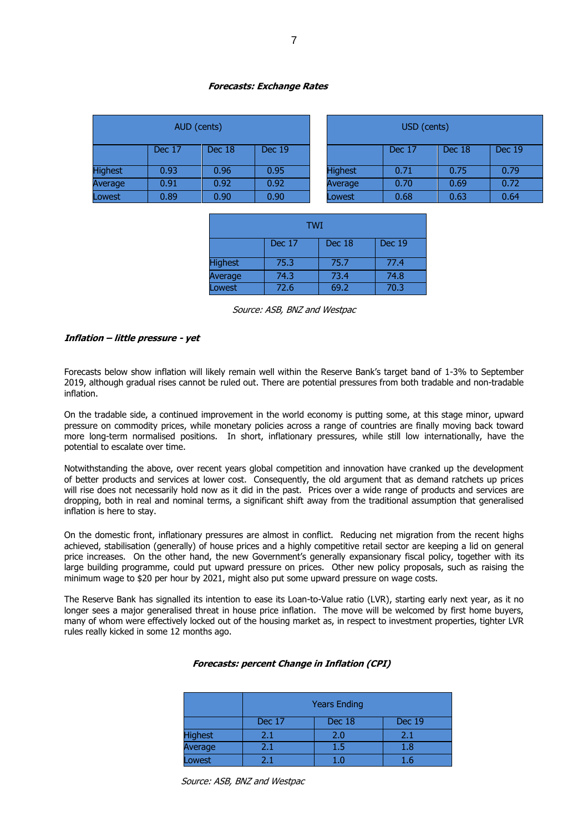#### **Forecasts: Exchange Rates**

| AUD (cents)    |        |        |               | USD (cents)    |        |        |       |
|----------------|--------|--------|---------------|----------------|--------|--------|-------|
|                | Dec 17 | Dec 18 | <b>Dec 19</b> |                | Dec 17 | Dec 18 | Dec 1 |
| <b>Highest</b> | 0.93   | 0.96   | 0.95          | <b>Highest</b> | 0.71   | 0.75   | 0.79  |
| Average        | 0.91   | 0.92   | 0.92          | Average        | 0.70   | 0.69   | 0.72  |
| Lowest         | 0.89   | 0.90   | 0.90          | Lowest         | 0.68   | 0.63   | 0.64  |

| AUD (cents) |        |               | USD (cents)    |        |        |               |
|-------------|--------|---------------|----------------|--------|--------|---------------|
| Dec 17      | Dec 18 | <b>Dec 19</b> |                | Dec 17 | Dec 18 | <b>Dec 19</b> |
| 0.93        | 0.96   | 0.95          | <b>Highest</b> | 0.71   | 0.75   | 0.79          |
| 0.91        | 0.92   | 0.92          | Average        | 0.70   | 0.69   | 0.72          |
| 0.89        | 0.90   | 0.90          | Lowest         | 0.68   | 0.63   | 0.64          |

| <b>TWI</b>                        |      |      |      |  |  |  |
|-----------------------------------|------|------|------|--|--|--|
| Dec 17<br><b>Dec 19</b><br>Dec 18 |      |      |      |  |  |  |
| <b>Highest</b>                    | 75.3 | 75.7 | 77.4 |  |  |  |
| Average                           | 74.3 | 73.4 | 74.8 |  |  |  |
| Lowest                            | 72.6 | 69.2 | 70.3 |  |  |  |

Source: ASB, BNZ and Westpac

#### **Inflation – little pressure - yet**

Forecasts below show inflation will likely remain well within the Reserve Bank's target band of 1-3% to September 2019, although gradual rises cannot be ruled out. There are potential pressures from both tradable and non-tradable inflation.

On the tradable side, a continued improvement in the world economy is putting some, at this stage minor, upward pressure on commodity prices, while monetary policies across a range of countries are finally moving back toward more long-term normalised positions. In short, inflationary pressures, while still low internationally, have the potential to escalate over time.

Notwithstanding the above, over recent years global competition and innovation have cranked up the development of better products and services at lower cost. Consequently, the old argument that as demand ratchets up prices will rise does not necessarily hold now as it did in the past. Prices over a wide range of products and services are dropping, both in real and nominal terms, a significant shift away from the traditional assumption that generalised inflation is here to stay.

On the domestic front, inflationary pressures are almost in conflict. Reducing net migration from the recent highs achieved, stabilisation (generally) of house prices and a highly competitive retail sector are keeping a lid on general price increases. On the other hand, the new Government's generally expansionary fiscal policy, together with its large building programme, could put upward pressure on prices. Other new policy proposals, such as raising the minimum wage to \$20 per hour by 2021, might also put some upward pressure on wage costs.

The Reserve Bank has signalled its intention to ease its Loan-to-Value ratio (LVR), starting early next year, as it no longer sees a major generalised threat in house price inflation. The move will be welcomed by first home buyers, many of whom were effectively locked out of the housing market as, in respect to investment properties, tighter LVR rules really kicked in some 12 months ago.

#### **Forecasts: percent Change in Inflation (CPI)**

|                | <b>Years Ending</b> |        |               |  |
|----------------|---------------------|--------|---------------|--|
|                | Dec 17              | Dec 18 | <b>Dec 19</b> |  |
| <b>Highest</b> | 2.1                 | 2.0    | 2.1           |  |
| Average        | 2.1                 | 1.5    | 1.8           |  |
| Lowest         | 71                  | 1 ก    | 1.6           |  |

Source: ASB, BNZ and Westpac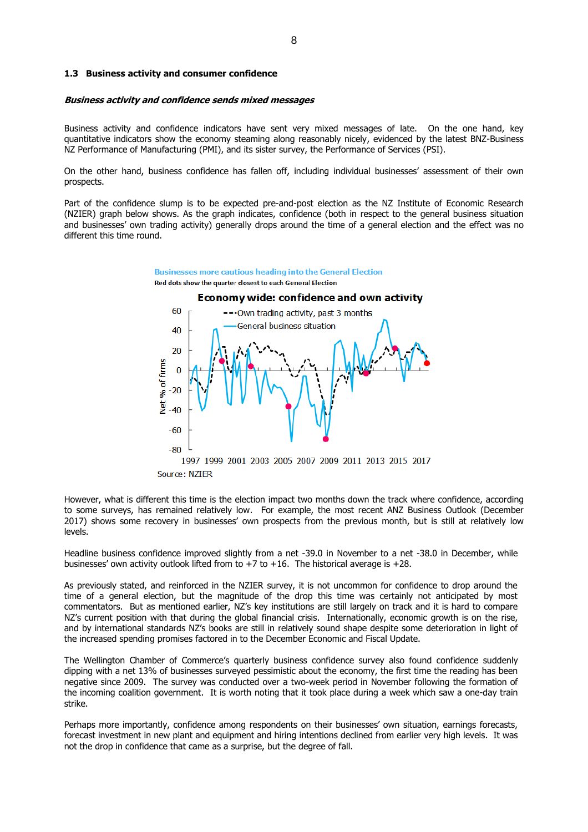#### **1.3 Business activity and consumer confidence**

#### **Business activity and confidence sends mixed messages**

Business activity and confidence indicators have sent very mixed messages of late. On the one hand, key quantitative indicators show the economy steaming along reasonably nicely, evidenced by the latest BNZ-Business NZ Performance of Manufacturing (PMI), and its sister survey, the Performance of Services (PSI).

On the other hand, business confidence has fallen off, including individual businesses' assessment of their own prospects.

Part of the confidence slump is to be expected pre-and-post election as the NZ Institute of Economic Research (NZIER) graph below shows. As the graph indicates, confidence (both in respect to the general business situation and businesses' own trading activity) generally drops around the time of a general election and the effect was no different this time round.



However, what is different this time is the election impact two months down the track where confidence, according to some surveys, has remained relatively low. For example, the most recent ANZ Business Outlook (December 2017) shows some recovery in businesses' own prospects from the previous month, but is still at relatively low levels.

Headline business confidence improved slightly from a net -39.0 in November to a net -38.0 in December, while businesses' own activity outlook lifted from to  $+7$  to  $+16$ . The historical average is  $+28$ .

As previously stated, and reinforced in the NZIER survey, it is not uncommon for confidence to drop around the time of a general election, but the magnitude of the drop this time was certainly not anticipated by most commentators. But as mentioned earlier, NZ's key institutions are still largely on track and it is hard to compare NZ's current position with that during the global financial crisis. Internationally, economic growth is on the rise, and by international standards NZ's books are still in relatively sound shape despite some deterioration in light of the increased spending promises factored in to the December Economic and Fiscal Update.

The Wellington Chamber of Commerce's quarterly business confidence survey also found confidence suddenly dipping with a net 13% of businesses surveyed pessimistic about the economy, the first time the reading has been negative since 2009. The survey was conducted over a two-week period in November following the formation of the incoming coalition government. It is worth noting that it took place during a week which saw a one-day train strike.

Perhaps more importantly, confidence among respondents on their businesses' own situation, earnings forecasts, forecast investment in new plant and equipment and hiring intentions declined from earlier very high levels. It was not the drop in confidence that came as a surprise, but the degree of fall.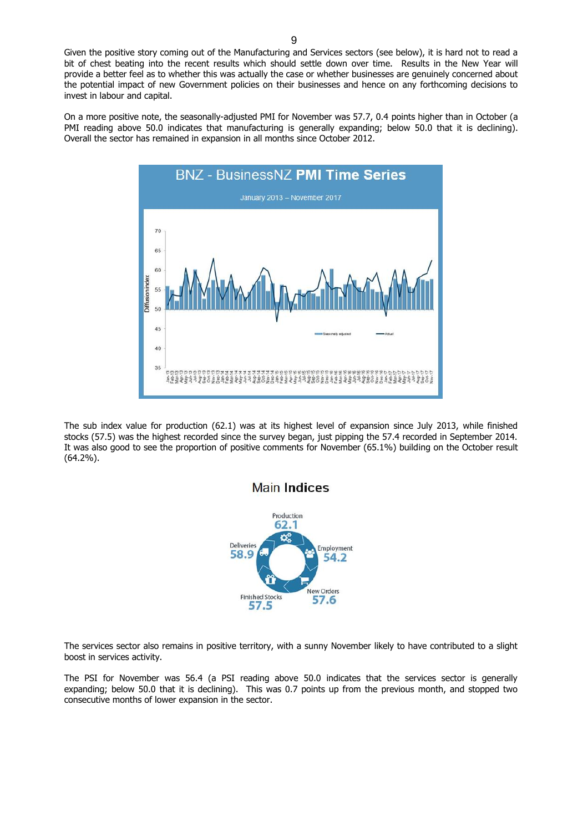Given the positive story coming out of the Manufacturing and Services sectors (see below), it is hard not to read a bit of chest beating into the recent results which should settle down over time. Results in the New Year will provide a better feel as to whether this was actually the case or whether businesses are genuinely concerned about the potential impact of new Government policies on their businesses and hence on any forthcoming decisions to invest in labour and capital.

On a more positive note, the seasonally-adjusted PMI for November was 57.7, 0.4 points higher than in October (a PMI reading above 50.0 indicates that manufacturing is generally expanding; below 50.0 that it is declining). Overall the sector has remained in expansion in all months since October 2012.



The sub index value for production (62.1) was at its highest level of expansion since July 2013, while finished stocks (57.5) was the highest recorded since the survey began, just pipping the 57.4 recorded in September 2014. It was also good to see the proportion of positive comments for November (65.1%) building on the October result (64.2%).

### **Main Indices**



The services sector also remains in positive territory, with a sunny November likely to have contributed to a slight boost in services activity.

The PSI for November was 56.4 (a PSI reading above 50.0 indicates that the services sector is generally expanding; below 50.0 that it is declining). This was 0.7 points up from the previous month, and stopped two consecutive months of lower expansion in the sector.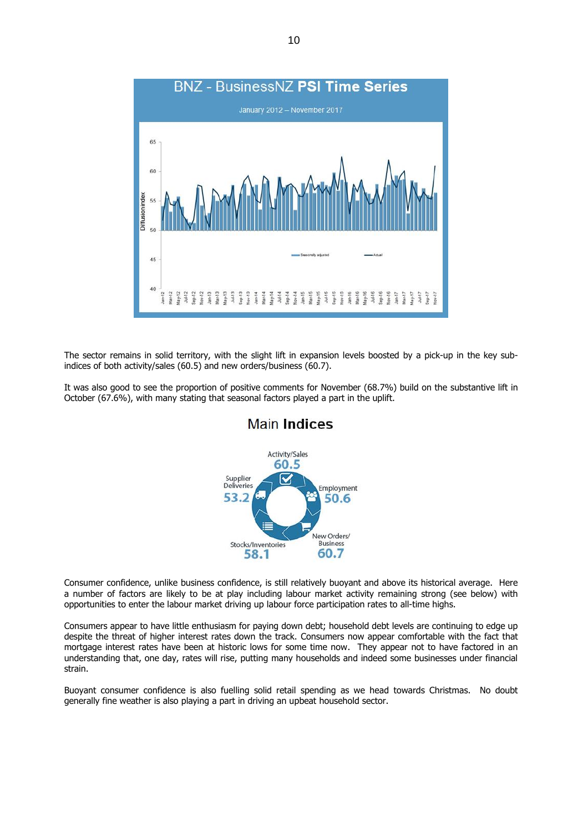

The sector remains in solid territory, with the slight lift in expansion levels boosted by a pick-up in the key subindices of both activity/sales (60.5) and new orders/business (60.7).

It was also good to see the proportion of positive comments for November (68.7%) build on the substantive lift in October (67.6%), with many stating that seasonal factors played a part in the uplift.



**Main Indices** 

Consumer confidence, unlike business confidence, is still relatively buoyant and above its historical average. Here a number of factors are likely to be at play including labour market activity remaining strong (see below) with opportunities to enter the labour market driving up labour force participation rates to all-time highs.

Consumers appear to have little enthusiasm for paying down debt; household debt levels are continuing to edge up despite the threat of higher interest rates down the track. Consumers now appear comfortable with the fact that mortgage interest rates have been at historic lows for some time now. They appear not to have factored in an understanding that, one day, rates will rise, putting many households and indeed some businesses under financial strain.

Buoyant consumer confidence is also fuelling solid retail spending as we head towards Christmas. No doubt generally fine weather is also playing a part in driving an upbeat household sector.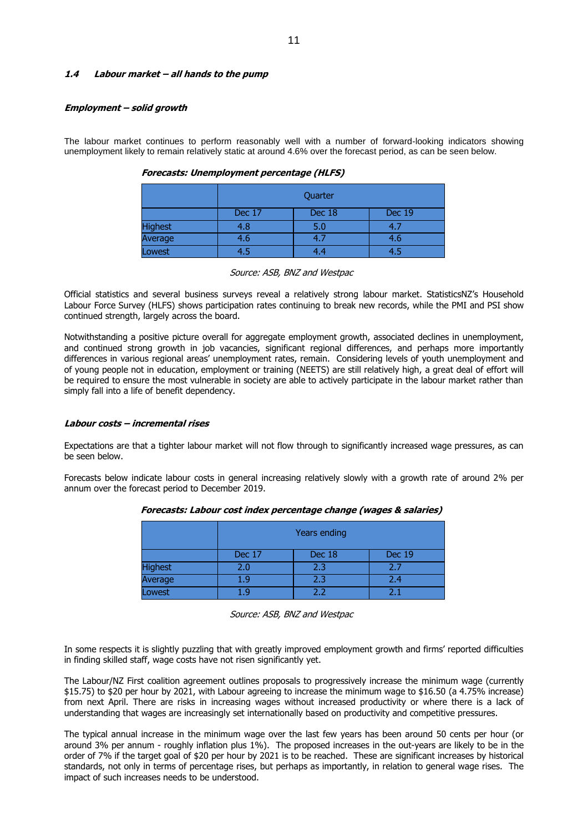#### **1.4 Labour market – all hands to the pump**

#### **Employment – solid growth**

The labour market continues to perform reasonably well with a number of forward-looking indicators showing unemployment likely to remain relatively static at around 4.6% over the forecast period, as can be seen below.

|                | Quarter                           |     |     |  |  |  |
|----------------|-----------------------------------|-----|-----|--|--|--|
|                | <b>Dec 19</b><br>Dec 17<br>Dec 18 |     |     |  |  |  |
| <b>Highest</b> | 4.8                               | 5.0 | 4.7 |  |  |  |
| Average        | 4.6                               | 4.7 | 4.6 |  |  |  |
| Lowest         | 4.5                               | 4.4 | 4.5 |  |  |  |

**Forecasts: Unemployment percentage (HLFS)**

#### Source: ASB, BNZ and Westpac

Official statistics and several business surveys reveal a relatively strong labour market. StatisticsNZ's Household Labour Force Survey (HLFS) shows participation rates continuing to break new records, while the PMI and PSI show continued strength, largely across the board.

Notwithstanding a positive picture overall for aggregate employment growth, associated declines in unemployment, and continued strong growth in job vacancies, significant regional differences, and perhaps more importantly differences in various regional areas' unemployment rates, remain. Considering levels of youth unemployment and of young people not in education, employment or training (NEETS) are still relatively high, a great deal of effort will be required to ensure the most vulnerable in society are able to actively participate in the labour market rather than simply fall into a life of benefit dependency.

#### **Labour costs – incremental rises**

Expectations are that a tighter labour market will not flow through to significantly increased wage pressures, as can be seen below.

Forecasts below indicate labour costs in general increasing relatively slowly with a growth rate of around 2% per annum over the forecast period to December 2019.

|                | Years ending |        |               |  |  |
|----------------|--------------|--------|---------------|--|--|
|                | Dec 17       | Dec 18 | <b>Dec 19</b> |  |  |
| <b>Highest</b> | 2.0          | 2.3    | 2.7           |  |  |
| Average        | 1.9          | 2.3    | 2.4           |  |  |
| Lowest         |              | つつ     | ว∖            |  |  |

**Forecasts: Labour cost index percentage change (wages & salaries)**

In some respects it is slightly puzzling that with greatly improved employment growth and firms' reported difficulties in finding skilled staff, wage costs have not risen significantly yet.

The Labour/NZ First coalition agreement outlines proposals to progressively increase the minimum wage (currently \$15.75) to \$20 per hour by 2021, with Labour agreeing to increase the minimum wage to \$16.50 (a 4.75% increase) from next April. There are risks in increasing wages without increased productivity or where there is a lack of understanding that wages are increasingly set internationally based on productivity and competitive pressures.

The typical annual increase in the minimum wage over the last few years has been around 50 cents per hour (or around 3% per annum - roughly inflation plus 1%). The proposed increases in the out-years are likely to be in the order of 7% if the target goal of \$20 per hour by 2021 is to be reached. These are significant increases by historical standards, not only in terms of percentage rises, but perhaps as importantly, in relation to general wage rises. The impact of such increases needs to be understood.

Source: ASB, BNZ and Westpac